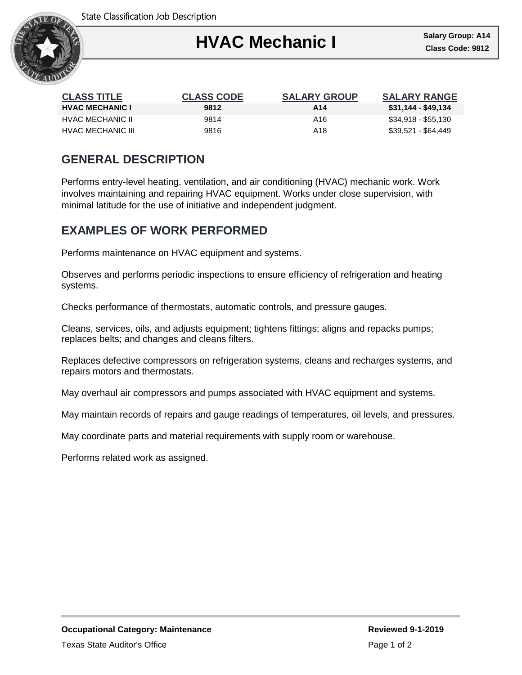

| <b>CLASS TITLE</b>     | <b>CLASS CODE</b> | <b>SALARY GROUP</b> | <b>SALARY RANGE</b> |
|------------------------|-------------------|---------------------|---------------------|
| <b>HVAC MECHANIC I</b> | 9812              | A14                 | \$31,144 - \$49,134 |
| HVAC MECHANIC II       | 9814              | A16                 | \$34,918 - \$55,130 |
| HVAC MECHANIC III      | 9816              | A18                 | \$39,521 - \$64,449 |

## **GENERAL DESCRIPTION**

Performs entry-level heating, ventilation, and air conditioning (HVAC) mechanic work. Work involves maintaining and repairing HVAC equipment. Works under close supervision, with minimal latitude for the use of initiative and independent judgment.

## **EXAMPLES OF WORK PERFORMED**

Performs maintenance on HVAC equipment and systems.

Observes and performs periodic inspections to ensure efficiency of refrigeration and heating systems.

Checks performance of thermostats, automatic controls, and pressure gauges.

Cleans, services, oils, and adjusts equipment; tightens fittings; aligns and repacks pumps; replaces belts; and changes and cleans filters.

Replaces defective compressors on refrigeration systems, cleans and recharges systems, and repairs motors and thermostats.

May overhaul air compressors and pumps associated with HVAC equipment and systems.

May maintain records of repairs and gauge readings of temperatures, oil levels, and pressures.

May coordinate parts and material requirements with supply room or warehouse.

Performs related work as assigned.